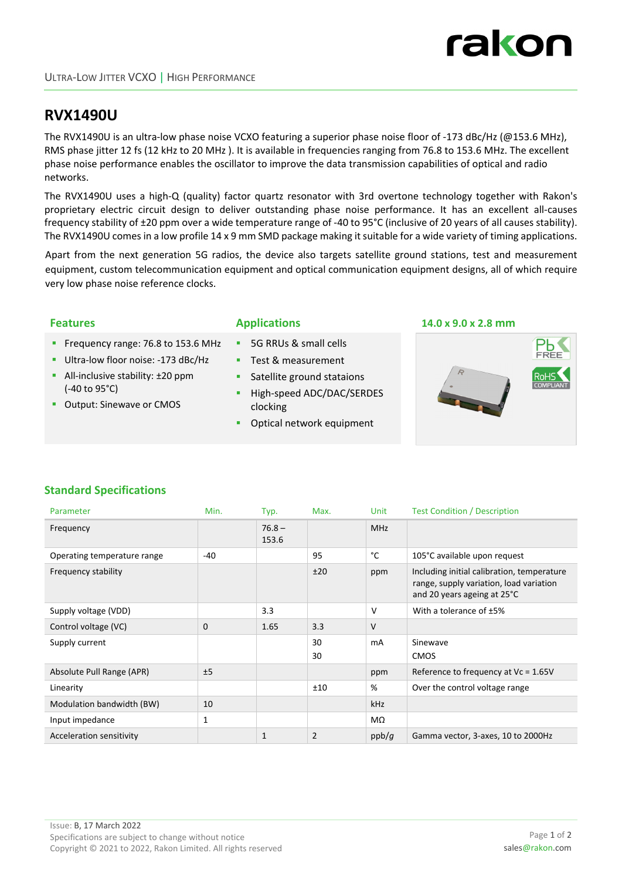

# **RVX1490U**

The RVX1490U is an ultra‐low phase noise VCXO featuring a superior phase noise floor of ‐173 dBc/Hz (@153.6 MHz), RMS phase jitter 12 fs (12 kHz to 20 MHz ). It is available in frequencies ranging from 76.8 to 153.6 MHz. The excellent phase noise performance enables the oscillator to improve the data transmission capabilities of optical and radio networks.

The RVX1490U uses a high‐Q (quality) factor quartz resonator with 3rd overtone technology together with Rakon's proprietary electric circuit design to deliver outstanding phase noise performance. It has an excellent all‐causes frequency stability of ±20 ppm over a wide temperature range of ‐40 to 95°C (inclusive of 20 years of all causes stability). The RVX1490U comes in a low profile 14 x 9 mm SMD package making it suitable for a wide variety of timing applications.

Apart from the next generation 5G radios, the device also targets satellite ground stations, test and measurement equipment, custom telecommunication equipment and optical communication equipment designs, all of which require very low phase noise reference clocks.

- Frequency range: 76.8 to 153.6 MHz
- Ultra-low floor noise: -173 dBc/Hz
- All-inclusive stability: ±20 ppm (‐40 to 95°C)
- **Output: Sinewave or CMOS**

- 5G RRUs & small cells
- Test & measurement
- **Satellite ground stataions**
- High‐speed ADC/DAC/SERDES clocking
- **•** Optical network equipment

#### **Features Applications 14.0 x 9.0 x 2.8 mm**



## **Standard Specifications**

| Parameter                   | Min.         | Typ.              | Max.           | Unit       | <b>Test Condition / Description</b>                                                                                  |
|-----------------------------|--------------|-------------------|----------------|------------|----------------------------------------------------------------------------------------------------------------------|
| Frequency                   |              | $76.8 -$<br>153.6 |                | <b>MHz</b> |                                                                                                                      |
| Operating temperature range | $-40$        |                   | 95             | °C         | 105°C available upon request                                                                                         |
| Frequency stability         |              |                   | ±20            | ppm        | Including initial calibration, temperature<br>range, supply variation, load variation<br>and 20 years ageing at 25°C |
| Supply voltage (VDD)        |              | 3.3               |                | V          | With a tolerance of ±5%                                                                                              |
| Control voltage (VC)        | 0            | 1.65              | 3.3            | $\vee$     |                                                                                                                      |
| Supply current              |              |                   | 30<br>30       | mA         | Sinewave<br><b>CMOS</b>                                                                                              |
| Absolute Pull Range (APR)   | ±5           |                   |                | ppm        | Reference to frequency at $Vc = 1.65V$                                                                               |
| Linearity                   |              |                   | ±10            | %          | Over the control voltage range                                                                                       |
| Modulation bandwidth (BW)   | 10           |                   |                | <b>kHz</b> |                                                                                                                      |
| Input impedance             | $\mathbf{1}$ |                   |                | MΩ         |                                                                                                                      |
| Acceleration sensitivity    |              | 1                 | $\overline{2}$ | ppb/g      | Gamma vector, 3-axes, 10 to 2000Hz                                                                                   |